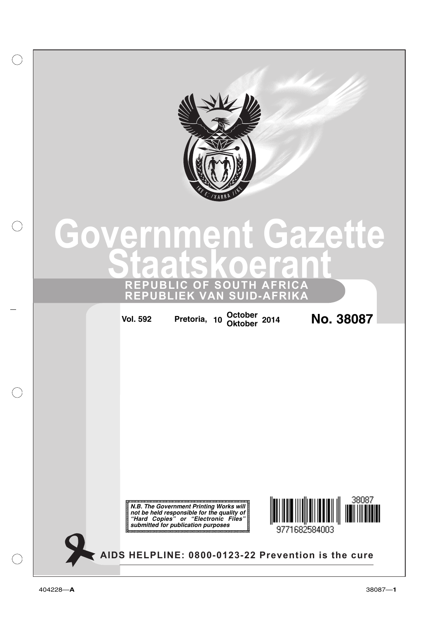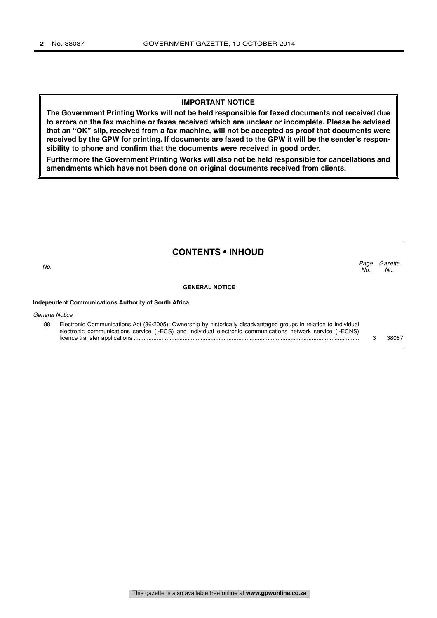## **IMPORTANT NOTICE**

**The Government Printing Works will not be held responsible for faxed documents not received due to errors on the fax machine or faxes received which are unclear or incomplete. Please be advised that an "OK" slip, received from a fax machine, will not be accepted as proof that documents were received by the GPW for printing. If documents are faxed to the GPW it will be the sender's responsibility to phone and confirm that the documents were received in good order.**

**Furthermore the Government Printing Works will also not be held responsible for cancellations and amendments which have not been done on original documents received from clients.**

# **CONTENTS • INHOUD**

**Gazette** No. Page<br>No. No.  $\sim$  No.

### **GENERAL NOTICE**

### **Independent Communications Authority of South Africa**

General Notice

881 Electronic Communications Act (36/2005): Ownership by historically disadvantaged groups in relation to individual electronic communications service (I-ECS) and individual electronic communications network service (I-ECNS) licence transfer applications .......................................................................................................................................... 3 38087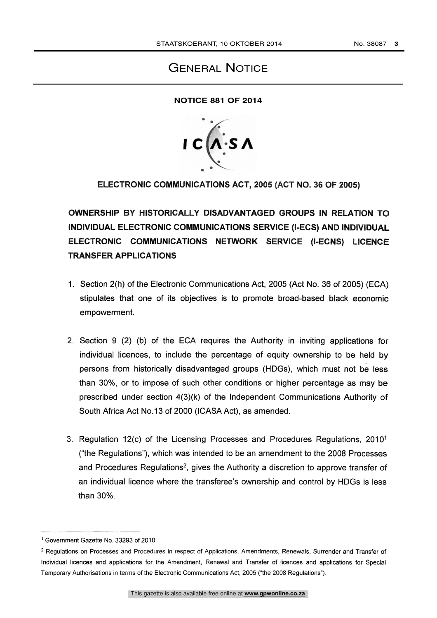# GENERAL NOTICE

# **NOTICE 881 OF 2014**



ELECTRONIC COMMUNICATIONS ACT, 2005 (ACT NO. 36 OF 2005)

OWNERSHIP BY HISTORICALLY DISADVANTAGED GROUPS IN RELATION TO INDIVIDUAL ELECTRONIC COMMUNICATIONS SERVICE (I-ECS) AND INDIVIDUAL ELECTRONIC COMMUNICATIONS NETWORK SERVICE (I-ECNS) LICENCE TRANSFER APPLICATIONS

- 1. Section 2(h) of the Electronic Communications Act, 2005 (Act No. 36 of 2005) (ECA) stipulates that one of its objectives is to promote broad-based black economic empowerment.
- 2. Section 9 (2) (b) of the ECA requires the Authority in inviting applications for individual licences, to include the percentage of equity ownership to be held by persons from historically disadvantaged groups (HDGs), which must not be less than 30%, or to impose of such other conditions or higher percentage as may be prescribed under section 4(3)(k) of the Independent Communications Authority of South Africa Act No.13 of 2000 (ICASA Act), as amended.
- 3. Regulation 12(c) of the Licensing Processes and Procedures Regulations, 20101 ("the Regulations"), which was intended to be an amendment to the 2008 Processes and Procedures Regulations<sup>2</sup>, gives the Authority a discretion to approve transfer of an individual licence where the transferee's ownership and control by HDGs is less than 30%.

<sup>&</sup>lt;sup>1</sup> Government Gazette No. 33293 of 2010.

<sup>2</sup> Regulations on Processes and Procedures in respect of Applications, Amendments, Renewals, Surrender and Transfer of Individual licences and applications for the Amendment, Renewal and Transfer of licences and applications for Special Temporary Authorisations in terms of the Electronic Communications Act, 2005 ("the 2008 Regulations").